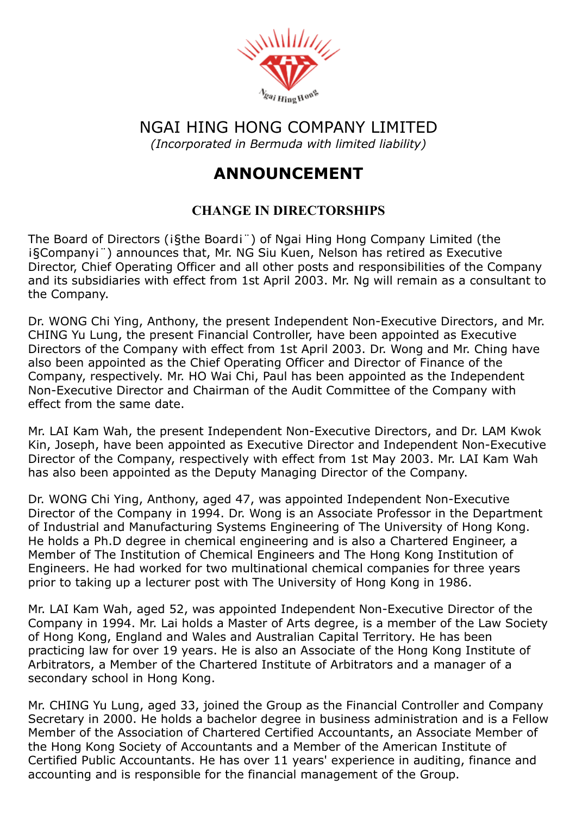

NGAI HING HONG COMPANY LIMITED (Incorporated in Bermuda with limited liability)

## ANNOUNCEMENT

## CHANGE IN DIRECTORSHIPS

The Board of Directors (i§the Boardi<sup>"</sup>) of Ngai Hing Hong Company Limited (the ¡§Company¡¨) announces that, Mr. NG Siu Kuen, Nelson has retired as Executive Director, Chief Operating Officer and all other posts and responsibilities of the Company and its subsidiaries with effect from 1st April 2003. Mr. Ng will remain as a consultant to the Company.

Dr. WONG Chi Ying, Anthony, the present Independent Non-Executive Directors, and Mr. CHING Yu Lung, the present Financial Controller, have been appointed as Executive Directors of the Company with effect from 1st April 2003. Dr. Wong and Mr. Ching have also been appointed as the Chief Operating Officer and Director of Finance of the Company, respectively. Mr. HO Wai Chi, Paul has been appointed as the Independent Non-Executive Director and Chairman of the Audit Committee of the Company with effect from the same date.

Mr. LAI Kam Wah, the present Independent Non-Executive Directors, and Dr. LAM Kwok Kin, Joseph, have been appointed as Executive Director and Independent Non-Executive Director of the Company, respectively with effect from 1st May 2003. Mr. LAI Kam Wah has also been appointed as the Deputy Managing Director of the Company.

Dr. WONG Chi Ying, Anthony, aged 47, was appointed Independent Non-Executive Director of the Company in 1994. Dr. Wong is an Associate Professor in the Department of Industrial and Manufacturing Systems Engineering of The University of Hong Kong. He holds a Ph.D degree in chemical engineering and is also a Chartered Engineer, a Member of The Institution of Chemical Engineers and The Hong Kong Institution of Engineers. He had worked for two multinational chemical companies for three years prior to taking up a lecturer post with The University of Hong Kong in 1986.

Mr. LAI Kam Wah, aged 52, was appointed Independent Non-Executive Director of the Company in 1994. Mr. Lai holds a Master of Arts degree, is a member of the Law Society of Hong Kong, England and Wales and Australian Capital Territory. He has been practicing law for over 19 years. He is also an Associate of the Hong Kong Institute of Arbitrators, a Member of the Chartered Institute of Arbitrators and a manager of a secondary school in Hong Kong.

Mr. CHING Yu Lung, aged 33, joined the Group as the Financial Controller and Company Secretary in 2000. He holds a bachelor degree in business administration and is a Fellow Member of the Association of Chartered Certified Accountants, an Associate Member of the Hong Kong Society of Accountants and a Member of the American Institute of Certified Public Accountants. He has over 11 years' experience in auditing, finance and accounting and is responsible for the financial management of the Group.